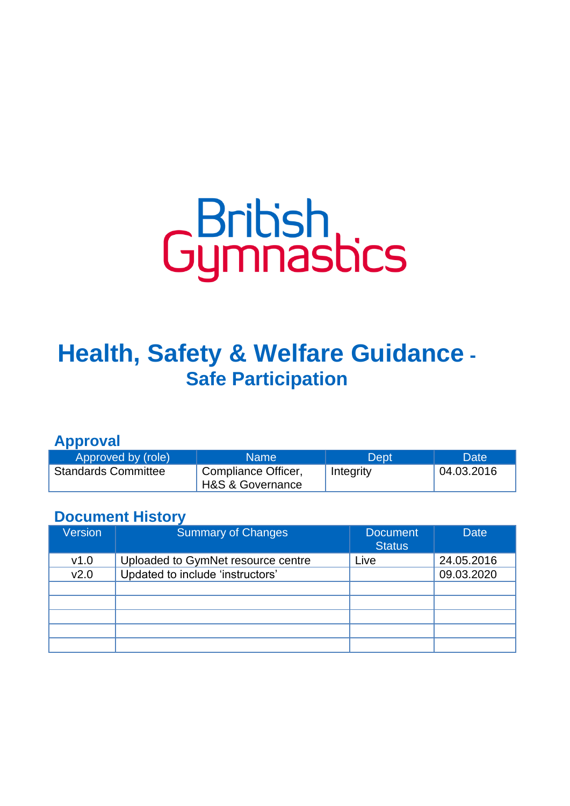# Gummastics

# **Health, Safety & Welfare Guidance - Safe Participation**

**Approval**

| Approved by (role)         | <b>Name</b>                             | Dept      | Date       |
|----------------------------|-----------------------------------------|-----------|------------|
| <b>Standards Committee</b> | Compliance Officer,<br>H&S & Governance | Integrity | 04.03.2016 |

# **Document History**

| <b>Version</b>   | Summary of Changes                 | <b>Document</b><br><b>Status</b> | <b>Date</b> |
|------------------|------------------------------------|----------------------------------|-------------|
| v1.0             | Uploaded to GymNet resource centre | Live                             | 24.05.2016  |
| V <sub>2.0</sub> | Updated to include 'instructors'   |                                  | 09.03.2020  |
|                  |                                    |                                  |             |
|                  |                                    |                                  |             |
|                  |                                    |                                  |             |
|                  |                                    |                                  |             |
|                  |                                    |                                  |             |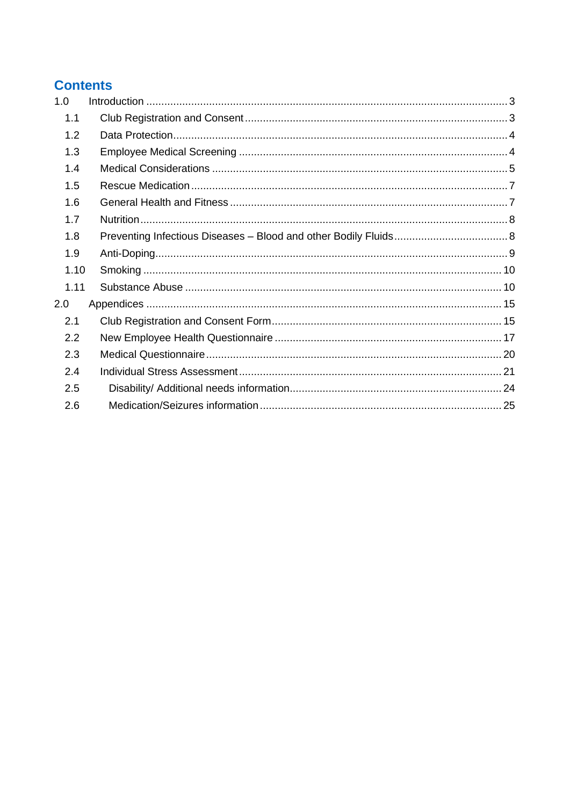# **Contents**

| 1.0  |  |
|------|--|
| 1.1  |  |
| 1.2  |  |
| 1.3  |  |
| 1.4  |  |
| 1.5  |  |
| 1.6  |  |
| 1.7  |  |
| 1.8  |  |
| 1.9  |  |
| 1.10 |  |
| 1.11 |  |
| 2.0  |  |
| 2.1  |  |
| 2.2  |  |
| 2.3  |  |
| 2.4  |  |
| 2.5  |  |
| 2.6  |  |
|      |  |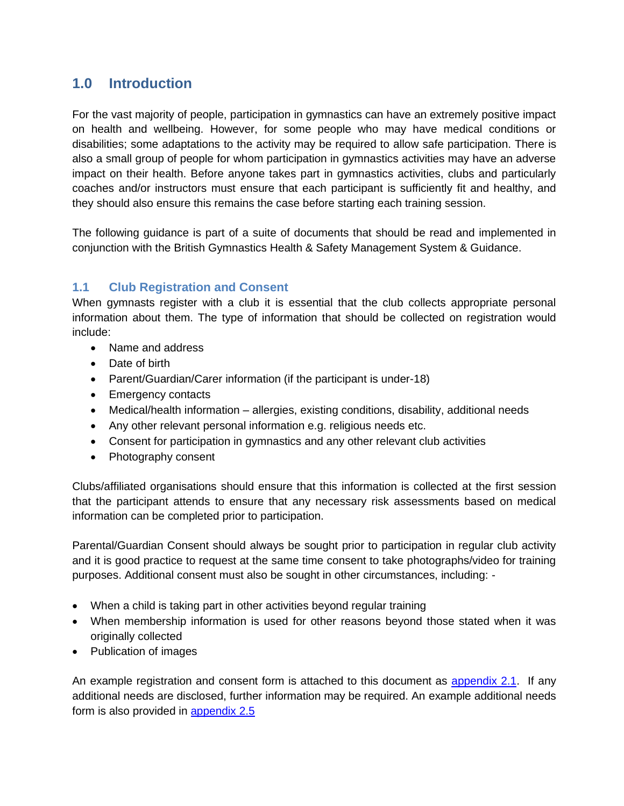# **1.0 Introduction**

<span id="page-2-0"></span>For the vast majority of people, participation in gymnastics can have an extremely positive impact on health and wellbeing. However, for some people who may have medical conditions or disabilities; some adaptations to the activity may be required to allow safe participation. There is also a small group of people for whom participation in gymnastics activities may have an adverse impact on their health. Before anyone takes part in gymnastics activities, clubs and particularly coaches and/or instructors must ensure that each participant is sufficiently fit and healthy, and they should also ensure this remains the case before starting each training session.

The following guidance is part of a suite of documents that should be read and implemented in conjunction with the British Gymnastics Health & Safety Management System & Guidance.

# **1.1 Club Registration and Consent**

<span id="page-2-1"></span>When gymnasts register with a club it is essential that the club collects appropriate personal information about them. The type of information that should be collected on registration would include:

- Name and address
- Date of birth
- Parent/Guardian/Carer information (if the participant is under-18)
- Emergency contacts
- Medical/health information allergies, existing conditions, disability, additional needs
- Any other relevant personal information e.g. religious needs etc.
- Consent for participation in gymnastics and any other relevant club activities
- Photography consent

Clubs/affiliated organisations should ensure that this information is collected at the first session that the participant attends to ensure that any necessary risk assessments based on medical information can be completed prior to participation.

Parental/Guardian Consent should always be sought prior to participation in regular club activity and it is good practice to request at the same time consent to take photographs/video for training purposes. Additional consent must also be sought in other circumstances, including: -

- When a child is taking part in other activities beyond regular training
- When membership information is used for other reasons beyond those stated when it was originally collected
- Publication of images

An example registration and consent form is attached to this document as [appendix 2.1.](#page-14-2) If any additional needs are disclosed, further information may be required. An example additional needs form is also provided in [appendix 2.5](#page-23-1)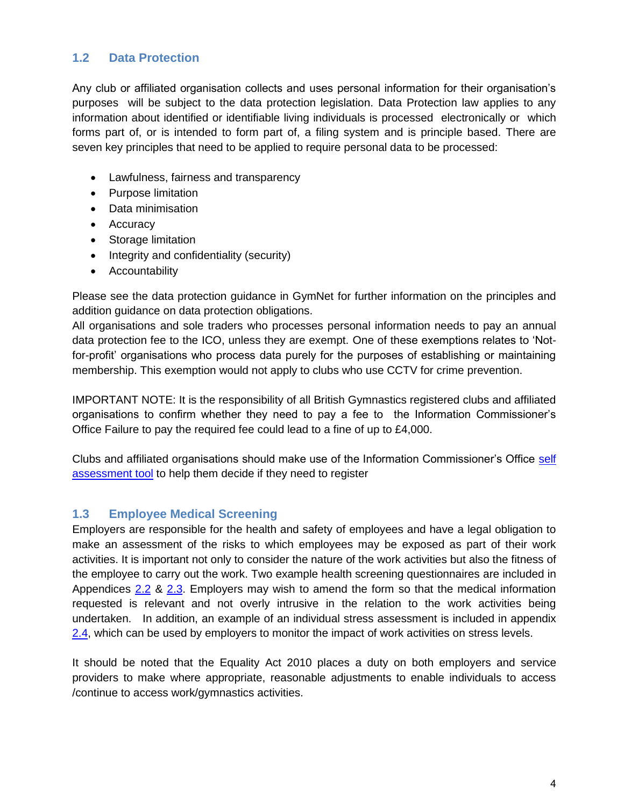# **1.2 Data Protection**

<span id="page-3-0"></span>Any club or affiliated organisation collects and uses personal information for their organisation's purposes will be subject to the data protection legislation. Data Protection law applies to any information about identified or identifiable living individuals is processed electronically or which forms part of, or is intended to form part of, a filing system and is principle based. There are seven key principles that need to be applied to require personal data to be processed:

- Lawfulness, fairness and transparency
- Purpose limitation
- Data minimisation
- Accuracy
- Storage limitation
- Integrity and confidentiality (security)
- Accountability

Please see the data protection guidance in GymNet for further information on the principles and addition guidance on data protection obligations.

All organisations and sole traders who processes personal information needs to pay an annual data protection fee to the ICO, unless they are exempt. One of these exemptions relates to 'Notfor-profit' organisations who process data purely for the purposes of establishing or maintaining membership. This exemption would not apply to clubs who use CCTV for crime prevention.

IMPORTANT NOTE: It is the responsibility of all British Gymnastics registered clubs and affiliated organisations to confirm whether they need to pay a fee to the Information Commissioner's Office Failure to pay the required fee could lead to a fine of up to £4,000.

Clubs and affiliated organisations should make use of the Information Commissioner's Office self [assessment](https://ico.org.uk/for-organisations/data-protection-fee/self-assessment/) tool to help them decide if they need to register

#### **1.3 Employee Medical Screening**

<span id="page-3-1"></span>Employers are responsible for the health and safety of employees and have a legal obligation to make an assessment of the risks to which employees may be exposed as part of their work activities. It is important not only to consider the nature of the work activities but also the fitness of the employee to carry out the work. Two example health screening questionnaires are included in Appendices [2.2](#page-16-1) & [2.3.](#page-19-1) Employers may wish to amend the form so that the medical information requested is relevant and not overly intrusive in the relation to the work activities being undertaken. In addition, an example of an individual stress assessment is included in appendix [2.4,](#page-20-1) which can be used by employers to monitor the impact of work activities on stress levels.

It should be noted that the Equality Act 2010 places a duty on both employers and service providers to make where appropriate, reasonable adjustments to enable individuals to access /continue to access work/gymnastics activities.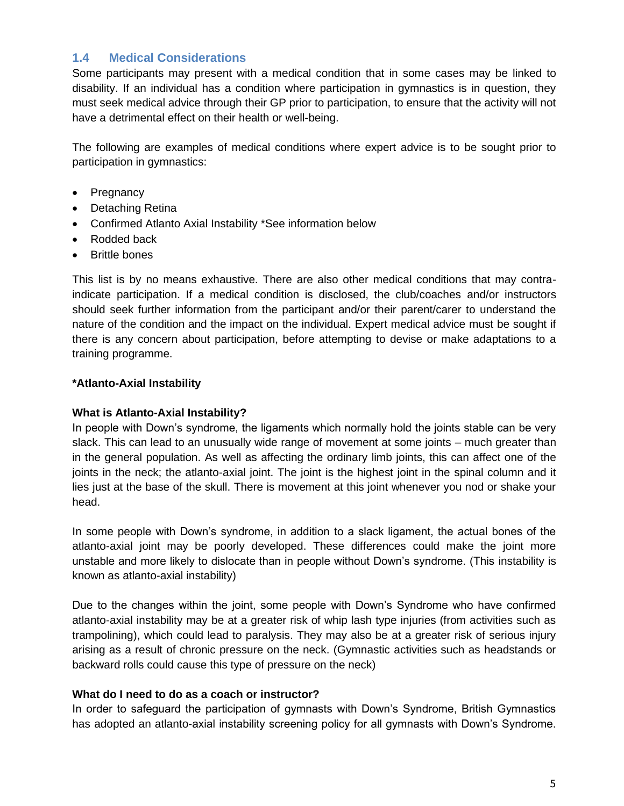# **1.4 Medical Considerations**

<span id="page-4-0"></span>Some participants may present with a medical condition that in some cases may be linked to disability. If an individual has a condition where participation in gymnastics is in question, they must seek medical advice through their GP prior to participation, to ensure that the activity will not have a detrimental effect on their health or well-being.

The following are examples of medical conditions where expert advice is to be sought prior to participation in gymnastics:

- Pregnancy
- Detaching Retina
- Confirmed Atlanto Axial Instability \*See information below
- Rodded back
- **Brittle bones**

This list is by no means exhaustive. There are also other medical conditions that may contraindicate participation. If a medical condition is disclosed, the club/coaches and/or instructors should seek further information from the participant and/or their parent/carer to understand the nature of the condition and the impact on the individual. Expert medical advice must be sought if there is any concern about participation, before attempting to devise or make adaptations to a training programme.

#### **\*Atlanto-Axial Instability**

#### **What is Atlanto-Axial Instability?**

In people with Down's syndrome, the ligaments which normally hold the joints stable can be very slack. This can lead to an unusually wide range of movement at some joints – much greater than in the general population. As well as affecting the ordinary limb joints, this can affect one of the joints in the neck; the atlanto-axial joint. The joint is the highest joint in the spinal column and it lies just at the base of the skull. There is movement at this joint whenever you nod or shake your head.

In some people with Down's syndrome, in addition to a slack ligament, the actual bones of the atlanto-axial joint may be poorly developed. These differences could make the joint more unstable and more likely to dislocate than in people without Down's syndrome. (This instability is known as atlanto-axial instability)

Due to the changes within the joint, some people with Down's Syndrome who have confirmed atlanto-axial instability may be at a greater risk of whip lash type injuries (from activities such as trampolining), which could lead to paralysis. They may also be at a greater risk of serious injury arising as a result of chronic pressure on the neck. (Gymnastic activities such as headstands or backward rolls could cause this type of pressure on the neck)

#### **What do I need to do as a coach or instructor?**

In order to safeguard the participation of gymnasts with Down's Syndrome, British Gymnastics has adopted an atlanto-axial instability screening policy for all gymnasts with Down's Syndrome.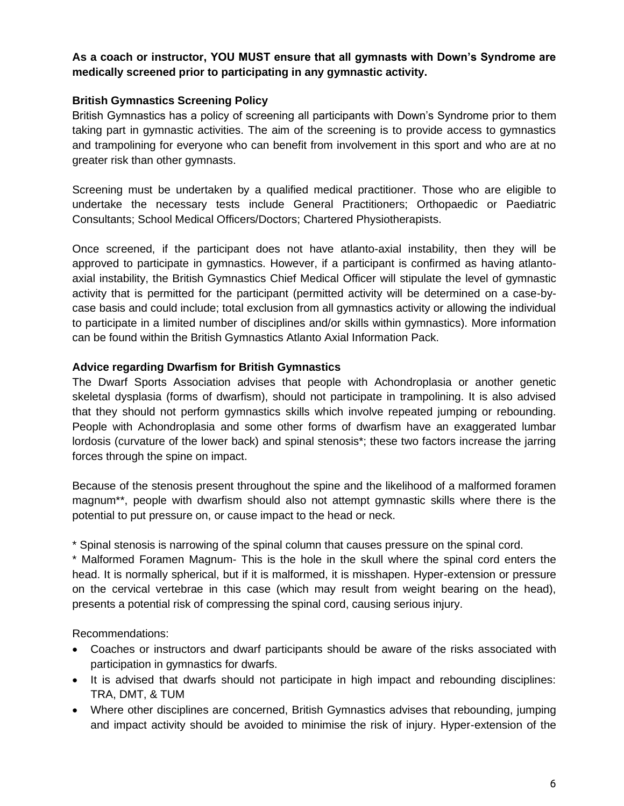#### **As a coach or instructor, YOU MUST ensure that all gymnasts with Down's Syndrome are medically screened prior to participating in any gymnastic activity.**

#### **British Gymnastics Screening Policy**

British Gymnastics has a policy of screening all participants with Down's Syndrome prior to them taking part in gymnastic activities. The aim of the screening is to provide access to gymnastics and trampolining for everyone who can benefit from involvement in this sport and who are at no greater risk than other gymnasts.

Screening must be undertaken by a qualified medical practitioner. Those who are eligible to undertake the necessary tests include General Practitioners; Orthopaedic or Paediatric Consultants; School Medical Officers/Doctors; Chartered Physiotherapists.

Once screened, if the participant does not have atlanto-axial instability, then they will be approved to participate in gymnastics. However, if a participant is confirmed as having atlantoaxial instability, the British Gymnastics Chief Medical Officer will stipulate the level of gymnastic activity that is permitted for the participant (permitted activity will be determined on a case-bycase basis and could include; total exclusion from all gymnastics activity or allowing the individual to participate in a limited number of disciplines and/or skills within gymnastics). More information can be found within the British Gymnastics Atlanto Axial Information Pack.

#### **Advice regarding Dwarfism for British Gymnastics**

The Dwarf Sports Association advises that people with Achondroplasia or another genetic skeletal dysplasia (forms of dwarfism), should not participate in trampolining. It is also advised that they should not perform gymnastics skills which involve repeated jumping or rebounding. People with Achondroplasia and some other forms of dwarfism have an exaggerated lumbar lordosis (curvature of the lower back) and spinal stenosis\*; these two factors increase the jarring forces through the spine on impact.

Because of the stenosis present throughout the spine and the likelihood of a malformed foramen magnum\*\*, people with dwarfism should also not attempt gymnastic skills where there is the potential to put pressure on, or cause impact to the head or neck.

\* Spinal stenosis is narrowing of the spinal column that causes pressure on the spinal cord.

\* Malformed Foramen Magnum- This is the hole in the skull where the spinal cord enters the head. It is normally spherical, but if it is malformed, it is misshapen. Hyper-extension or pressure on the cervical vertebrae in this case (which may result from weight bearing on the head), presents a potential risk of compressing the spinal cord, causing serious injury.

Recommendations:

- Coaches or instructors and dwarf participants should be aware of the risks associated with participation in gymnastics for dwarfs.
- It is advised that dwarfs should not participate in high impact and rebounding disciplines: TRA, DMT, & TUM
- Where other disciplines are concerned, British Gymnastics advises that rebounding, jumping and impact activity should be avoided to minimise the risk of injury. Hyper-extension of the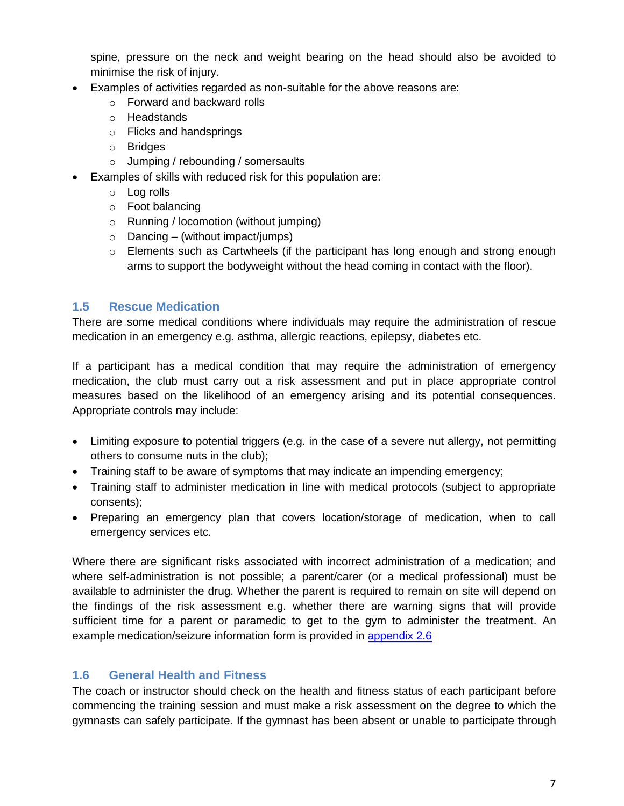spine, pressure on the neck and weight bearing on the head should also be avoided to minimise the risk of injury.

- Examples of activities regarded as non-suitable for the above reasons are:
	- o Forward and backward rolls
	- o Headstands
	- o Flicks and handsprings
	- o Bridges
	- o Jumping / rebounding / somersaults
- Examples of skills with reduced risk for this population are:
	- o Log rolls
	- o Foot balancing
	- o Running / locomotion (without jumping)
	- $\circ$  Dancing (without impact/jumps)
	- o Elements such as Cartwheels (if the participant has long enough and strong enough arms to support the bodyweight without the head coming in contact with the floor).

#### **1.5 Rescue Medication**

There are some medical conditions where individuals may require the administration of rescue medication in an emergency e.g. asthma, allergic reactions, epilepsy, diabetes etc.

<span id="page-6-0"></span>If a participant has a medical condition that may require the administration of emergency medication, the club must carry out a risk assessment and put in place appropriate control measures based on the likelihood of an emergency arising and its potential consequences. Appropriate controls may include:

- Limiting exposure to potential triggers (e.g. in the case of a severe nut allergy, not permitting others to consume nuts in the club);
- Training staff to be aware of symptoms that may indicate an impending emergency;
- Training staff to administer medication in line with medical protocols (subject to appropriate consents);
- Preparing an emergency plan that covers location/storage of medication, when to call emergency services etc.

Where there are significant risks associated with incorrect administration of a medication; and where self-administration is not possible; a parent/carer (or a medical professional) must be available to administer the drug. Whether the parent is required to remain on site will depend on the findings of the risk assessment e.g. whether there are warning signs that will provide sufficient time for a parent or paramedic to get to the gym to administer the treatment. An example medication/seizure information form is provided in [appendix](#page-24-1) 2.6

#### **1.6 General Health and Fitness**

<span id="page-6-1"></span>The coach or instructor should check on the health and fitness status of each participant before commencing the training session and must make a risk assessment on the degree to which the gymnasts can safely participate. If the gymnast has been absent or unable to participate through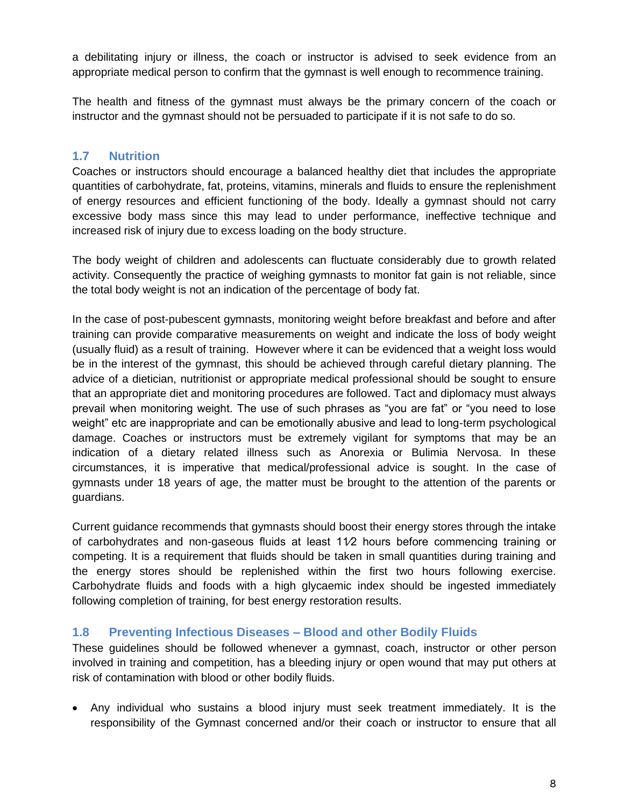a debilitating injury or illness, the coach or instructor is advised to seek evidence from an appropriate medical person to confirm that the gymnast is well enough to recommence training.

The health and fitness of the gymnast must always be the primary concern of the coach or instructor and the gymnast should not be persuaded to participate if it is not safe to do so.

#### **1.7 Nutrition**

<span id="page-7-0"></span>Coaches or instructors should encourage a balanced healthy diet that includes the appropriate quantities of carbohydrate, fat, proteins, vitamins, minerals and fluids to ensure the replenishment of energy resources and efficient functioning of the body. Ideally a gymnast should not carry excessive body mass since this may lead to under performance, ineffective technique and increased risk of injury due to excess loading on the body structure.

The body weight of children and adolescents can fluctuate considerably due to growth related activity. Consequently the practice of weighing gymnasts to monitor fat gain is not reliable, since the total body weight is not an indication of the percentage of body fat.

In the case of post-pubescent gymnasts, monitoring weight before breakfast and before and after training can provide comparative measurements on weight and indicate the loss of body weight (usually fluid) as a result of training. However where it can be evidenced that a weight loss would be in the interest of the gymnast, this should be achieved through careful dietary planning. The advice of a dietician, nutritionist or appropriate medical professional should be sought to ensure that an appropriate diet and monitoring procedures are followed. Tact and diplomacy must always prevail when monitoring weight. The use of such phrases as "you are fat" or "you need to lose weight" etc are inappropriate and can be emotionally abusive and lead to long-term psychological damage. Coaches or instructors must be extremely vigilant for symptoms that may be an indication of a dietary related illness such as Anorexia or Bulimia Nervosa. In these circumstances, it is imperative that medical/professional advice is sought. In the case of gymnasts under 18 years of age, the matter must be brought to the attention of the parents or guardians.

Current guidance recommends that gymnasts should boost their energy stores through the intake of carbohydrates and non-gaseous fluids at least 11⁄2 hours before commencing training or competing. It is a requirement that fluids should be taken in small quantities during training and the energy stores should be replenished within the first two hours following exercise. Carbohydrate fluids and foods with a high glycaemic index should be ingested immediately following completion of training, for best energy restoration results.

#### **1.8 Preventing Infectious Diseases – Blood and other Bodily Fluids**

<span id="page-7-1"></span>These guidelines should be followed whenever a gymnast, coach, instructor or other person involved in training and competition, has a bleeding injury or open wound that may put others at risk of contamination with blood or other bodily fluids.

• Any individual who sustains a blood injury must seek treatment immediately. It is the responsibility of the Gymnast concerned and/or their coach or instructor to ensure that all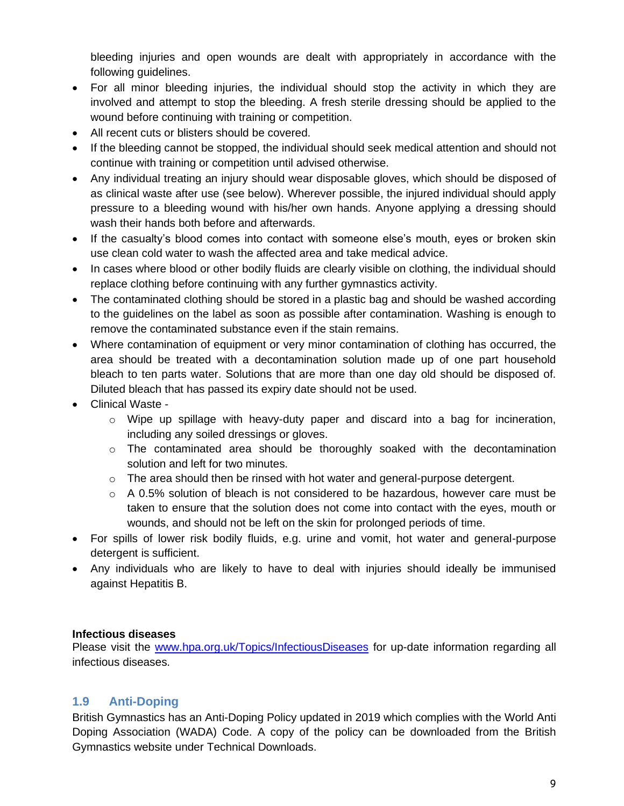bleeding injuries and open wounds are dealt with appropriately in accordance with the following guidelines.

- For all minor bleeding injuries, the individual should stop the activity in which they are involved and attempt to stop the bleeding. A fresh sterile dressing should be applied to the wound before continuing with training or competition.
- All recent cuts or blisters should be covered.
- If the bleeding cannot be stopped, the individual should seek medical attention and should not continue with training or competition until advised otherwise.
- Any individual treating an injury should wear disposable gloves, which should be disposed of as clinical waste after use (see below). Wherever possible, the injured individual should apply pressure to a bleeding wound with his/her own hands. Anyone applying a dressing should wash their hands both before and afterwards.
- If the casualty's blood comes into contact with someone else's mouth, eyes or broken skin use clean cold water to wash the affected area and take medical advice.
- In cases where blood or other bodily fluids are clearly visible on clothing, the individual should replace clothing before continuing with any further gymnastics activity.
- The contaminated clothing should be stored in a plastic bag and should be washed according to the guidelines on the label as soon as possible after contamination. Washing is enough to remove the contaminated substance even if the stain remains.
- Where contamination of equipment or very minor contamination of clothing has occurred, the area should be treated with a decontamination solution made up of one part household bleach to ten parts water. Solutions that are more than one day old should be disposed of. Diluted bleach that has passed its expiry date should not be used.
- Clinical Waste
	- o Wipe up spillage with heavy-duty paper and discard into a bag for incineration, including any soiled dressings or gloves.
	- $\circ$  The contaminated area should be thoroughly soaked with the decontamination solution and left for two minutes.
	- $\circ$  The area should then be rinsed with hot water and general-purpose detergent.
	- o A 0.5% solution of bleach is not considered to be hazardous, however care must be taken to ensure that the solution does not come into contact with the eyes, mouth or wounds, and should not be left on the skin for prolonged periods of time.
- For spills of lower risk bodily fluids, e.g. urine and vomit, hot water and general-purpose detergent is sufficient.
- Any individuals who are likely to have to deal with injuries should ideally be immunised against Hepatitis B.

#### **Infectious diseases**

Please visit the [www.hpa.org.uk/Topics/InfectiousDiseases](http://www.hpa.org.uk/Topics/InfectiousDiseases) for up-date information regarding all infectious diseases.

# **1.9 Anti-Doping**

<span id="page-8-0"></span>British Gymnastics has an Anti-Doping Policy updated in 2019 which complies with the World Anti Doping Association (WADA) Code. A copy of the policy can be downloaded from the British Gymnastics website under Technical Downloads.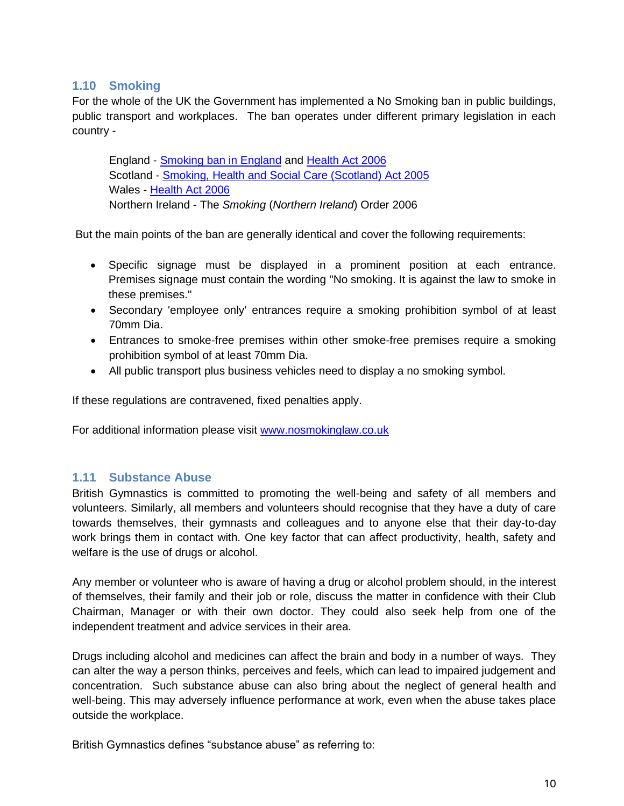# **1.10 Smoking**

<span id="page-9-0"></span>For the whole of the UK the Government has implemented a No Smoking ban in public buildings, public transport and workplaces. The ban operates under different primary legislation in each country -

England - [Smoking ban in England](http://en.wikipedia.org/wiki/Smoking_ban_in_England) and [Health Act 2006](http://en.wikipedia.org/wiki/Health_Act_2006) Scotland - [Smoking, Health and Social Care \(Scotland\) Act 2005](http://en.wikipedia.org/wiki/Smoking,_Health_and_Social_Care_%28Scotland%29_Act_2005) Wales - [Health Act 2006](http://en.wikipedia.org/wiki/Health_Act_2006) Northern Ireland - The *Smoking* (*Northern Ireland*) Order 2006

But the main points of the ban are generally identical and cover the following requirements:

- Specific signage must be displayed in a prominent position at each entrance. Premises signage must contain the wording "No smoking. It is against the law to smoke in these premises."
- Secondary 'employee only' entrances require a smoking prohibition symbol of at least 70mm Dia.
- Entrances to smoke-free premises within other smoke-free premises require a smoking prohibition symbol of at least 70mm Dia.
- All public transport plus business vehicles need to display a no smoking symbol.

If these regulations are contravened, fixed penalties apply.

For additional information please visit [www.nosmokinglaw.co.uk](http://www.nosmokinglaw.co.uk/)

#### <span id="page-9-1"></span>**1.11 Substance Abuse**

British Gymnastics is committed to promoting the well-being and safety of all members and volunteers. Similarly, all members and volunteers should recognise that they have a duty of care towards themselves, their gymnasts and colleagues and to anyone else that their day-to-day work brings them in contact with. One key factor that can affect productivity, health, safety and welfare is the use of drugs or alcohol.

Any member or volunteer who is aware of having a drug or alcohol problem should, in the interest of themselves, their family and their job or role, discuss the matter in confidence with their Club Chairman, Manager or with their own doctor. They could also seek help from one of the independent treatment and advice services in their area.

Drugs including alcohol and medicines can affect the brain and body in a number of ways. They can alter the way a person thinks, perceives and feels, which can lead to impaired judgement and concentration. Such substance abuse can also bring about the neglect of general health and well-being. This may adversely influence performance at work, even when the abuse takes place outside the workplace.

British Gymnastics defines "substance abuse" as referring to: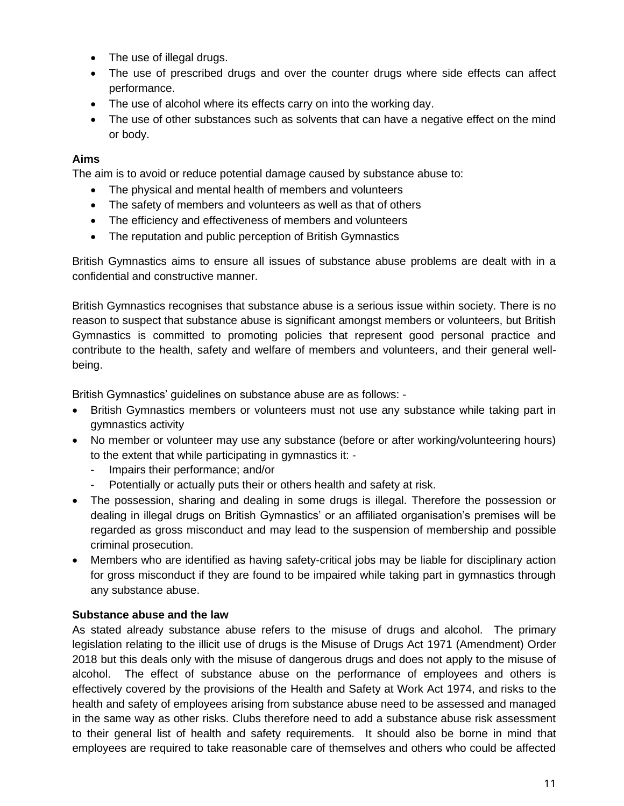- The use of illegal drugs.
- The use of prescribed drugs and over the counter drugs where side effects can affect performance.
- The use of alcohol where its effects carry on into the working day.
- The use of other substances such as solvents that can have a negative effect on the mind or body.

# **Aims**

The aim is to avoid or reduce potential damage caused by substance abuse to:

- The physical and mental health of members and volunteers
- The safety of members and volunteers as well as that of others
- The efficiency and effectiveness of members and volunteers
- The reputation and public perception of British Gymnastics

British Gymnastics aims to ensure all issues of substance abuse problems are dealt with in a confidential and constructive manner.

British Gymnastics recognises that substance abuse is a serious issue within society. There is no reason to suspect that substance abuse is significant amongst members or volunteers, but British Gymnastics is committed to promoting policies that represent good personal practice and contribute to the health, safety and welfare of members and volunteers, and their general wellbeing.

British Gymnastics' guidelines on substance abuse are as follows: -

- British Gymnastics members or volunteers must not use any substance while taking part in gymnastics activity
- No member or volunteer may use any substance (before or after working/volunteering hours) to the extent that while participating in gymnastics it: -
	- Impairs their performance; and/or
	- Potentially or actually puts their or others health and safety at risk.
- The possession, sharing and dealing in some drugs is illegal. Therefore the possession or dealing in illegal drugs on British Gymnastics' or an affiliated organisation's premises will be regarded as gross misconduct and may lead to the suspension of membership and possible criminal prosecution.
- Members who are identified as having safety-critical jobs may be liable for disciplinary action for gross misconduct if they are found to be impaired while taking part in gymnastics through any substance abuse.

# **Substance abuse and the law**

As stated already substance abuse refers to the misuse of drugs and alcohol. The primary legislation relating to the illicit use of drugs is the Misuse of Drugs Act 1971 (Amendment) Order 2018 but this deals only with the misuse of dangerous drugs and does not apply to the misuse of alcohol. The effect of substance abuse on the performance of employees and others is effectively covered by the provisions of the Health and Safety at Work Act 1974, and risks to the health and safety of employees arising from substance abuse need to be assessed and managed in the same way as other risks. Clubs therefore need to add a substance abuse risk assessment to their general list of health and safety requirements. It should also be borne in mind that employees are required to take reasonable care of themselves and others who could be affected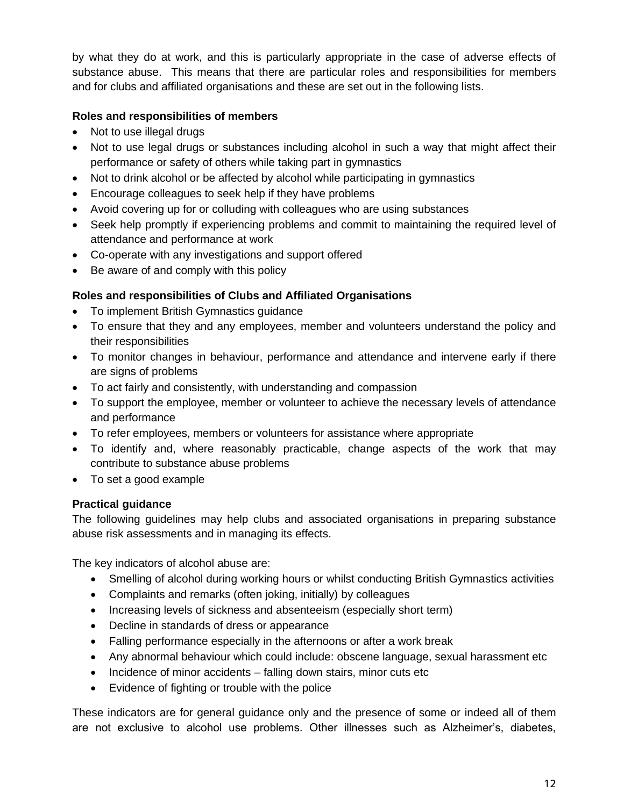by what they do at work, and this is particularly appropriate in the case of adverse effects of substance abuse. This means that there are particular roles and responsibilities for members and for clubs and affiliated organisations and these are set out in the following lists.

#### **Roles and responsibilities of members**

- Not to use illegal drugs
- Not to use legal drugs or substances including alcohol in such a way that might affect their performance or safety of others while taking part in gymnastics
- Not to drink alcohol or be affected by alcohol while participating in gymnastics
- Encourage colleagues to seek help if they have problems
- Avoid covering up for or colluding with colleagues who are using substances
- Seek help promptly if experiencing problems and commit to maintaining the required level of attendance and performance at work
- Co-operate with any investigations and support offered
- Be aware of and comply with this policy

# **Roles and responsibilities of Clubs and Affiliated Organisations**

- To implement British Gymnastics guidance
- To ensure that they and any employees, member and volunteers understand the policy and their responsibilities
- To monitor changes in behaviour, performance and attendance and intervene early if there are signs of problems
- To act fairly and consistently, with understanding and compassion
- To support the employee, member or volunteer to achieve the necessary levels of attendance and performance
- To refer employees, members or volunteers for assistance where appropriate
- To identify and, where reasonably practicable, change aspects of the work that may contribute to substance abuse problems
- To set a good example

#### **Practical guidance**

The following guidelines may help clubs and associated organisations in preparing substance abuse risk assessments and in managing its effects.

The key indicators of alcohol abuse are:

- Smelling of alcohol during working hours or whilst conducting British Gymnastics activities
- Complaints and remarks (often joking, initially) by colleagues
- Increasing levels of sickness and absenteeism (especially short term)
- Decline in standards of dress or appearance
- Falling performance especially in the afternoons or after a work break
- Any abnormal behaviour which could include: obscene language, sexual harassment etc
- Incidence of minor accidents falling down stairs, minor cuts etc
- Evidence of fighting or trouble with the police

These indicators are for general guidance only and the presence of some or indeed all of them are not exclusive to alcohol use problems. Other illnesses such as Alzheimer's, diabetes,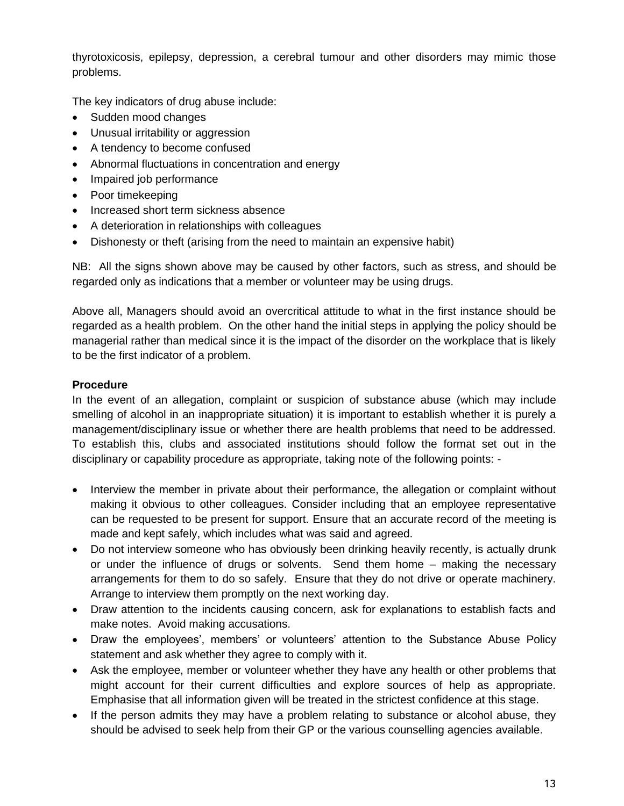thyrotoxicosis, epilepsy, depression, a cerebral tumour and other disorders may mimic those problems.

The key indicators of drug abuse include:

- Sudden mood changes
- Unusual irritability or aggression
- A tendency to become confused
- Abnormal fluctuations in concentration and energy
- Impaired job performance
- Poor timekeeping
- Increased short term sickness absence
- A deterioration in relationships with colleagues
- Dishonesty or theft (arising from the need to maintain an expensive habit)

NB: All the signs shown above may be caused by other factors, such as stress, and should be regarded only as indications that a member or volunteer may be using drugs.

Above all, Managers should avoid an overcritical attitude to what in the first instance should be regarded as a health problem. On the other hand the initial steps in applying the policy should be managerial rather than medical since it is the impact of the disorder on the workplace that is likely to be the first indicator of a problem.

#### **Procedure**

In the event of an allegation, complaint or suspicion of substance abuse (which may include smelling of alcohol in an inappropriate situation) it is important to establish whether it is purely a management/disciplinary issue or whether there are health problems that need to be addressed. To establish this, clubs and associated institutions should follow the format set out in the disciplinary or capability procedure as appropriate, taking note of the following points: -

- Interview the member in private about their performance, the allegation or complaint without making it obvious to other colleagues. Consider including that an employee representative can be requested to be present for support. Ensure that an accurate record of the meeting is made and kept safely, which includes what was said and agreed.
- Do not interview someone who has obviously been drinking heavily recently, is actually drunk or under the influence of drugs or solvents. Send them home – making the necessary arrangements for them to do so safely. Ensure that they do not drive or operate machinery. Arrange to interview them promptly on the next working day.
- Draw attention to the incidents causing concern, ask for explanations to establish facts and make notes. Avoid making accusations.
- Draw the employees', members' or volunteers' attention to the Substance Abuse Policy statement and ask whether they agree to comply with it.
- Ask the employee, member or volunteer whether they have any health or other problems that might account for their current difficulties and explore sources of help as appropriate. Emphasise that all information given will be treated in the strictest confidence at this stage.
- If the person admits they may have a problem relating to substance or alcohol abuse, they should be advised to seek help from their GP or the various counselling agencies available.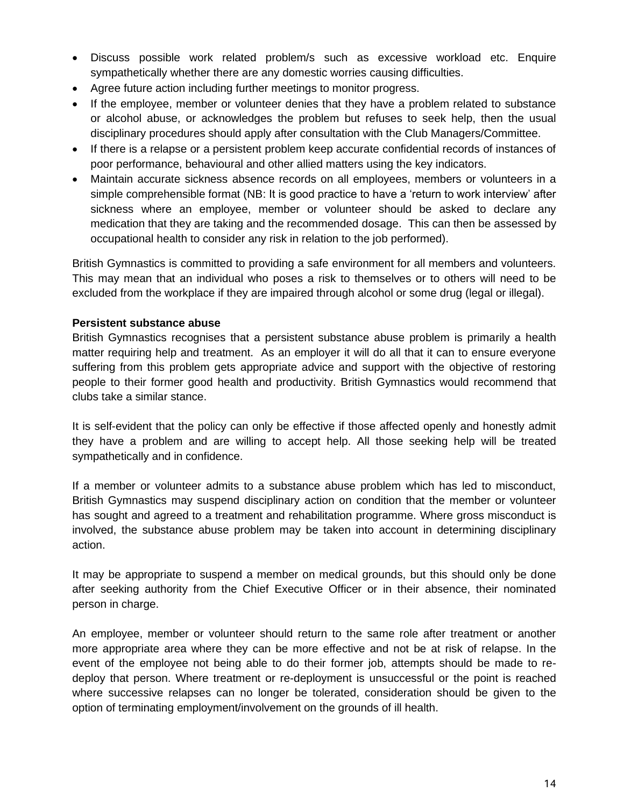- Discuss possible work related problem/s such as excessive workload etc. Enquire sympathetically whether there are any domestic worries causing difficulties.
- Agree future action including further meetings to monitor progress.
- If the employee, member or volunteer denies that they have a problem related to substance or alcohol abuse, or acknowledges the problem but refuses to seek help, then the usual disciplinary procedures should apply after consultation with the Club Managers/Committee.
- If there is a relapse or a persistent problem keep accurate confidential records of instances of poor performance, behavioural and other allied matters using the key indicators.
- Maintain accurate sickness absence records on all employees, members or volunteers in a simple comprehensible format (NB: It is good practice to have a 'return to work interview' after sickness where an employee, member or volunteer should be asked to declare any medication that they are taking and the recommended dosage. This can then be assessed by occupational health to consider any risk in relation to the job performed).

British Gymnastics is committed to providing a safe environment for all members and volunteers. This may mean that an individual who poses a risk to themselves or to others will need to be excluded from the workplace if they are impaired through alcohol or some drug (legal or illegal).

#### **Persistent substance abuse**

British Gymnastics recognises that a persistent substance abuse problem is primarily a health matter requiring help and treatment. As an employer it will do all that it can to ensure everyone suffering from this problem gets appropriate advice and support with the objective of restoring people to their former good health and productivity. British Gymnastics would recommend that clubs take a similar stance.

It is self-evident that the policy can only be effective if those affected openly and honestly admit they have a problem and are willing to accept help. All those seeking help will be treated sympathetically and in confidence.

If a member or volunteer admits to a substance abuse problem which has led to misconduct, British Gymnastics may suspend disciplinary action on condition that the member or volunteer has sought and agreed to a treatment and rehabilitation programme. Where gross misconduct is involved, the substance abuse problem may be taken into account in determining disciplinary action.

It may be appropriate to suspend a member on medical grounds, but this should only be done after seeking authority from the Chief Executive Officer or in their absence, their nominated person in charge.

An employee, member or volunteer should return to the same role after treatment or another more appropriate area where they can be more effective and not be at risk of relapse. In the event of the employee not being able to do their former job, attempts should be made to redeploy that person. Where treatment or re-deployment is unsuccessful or the point is reached where successive relapses can no longer be tolerated, consideration should be given to the option of terminating employment/involvement on the grounds of ill health.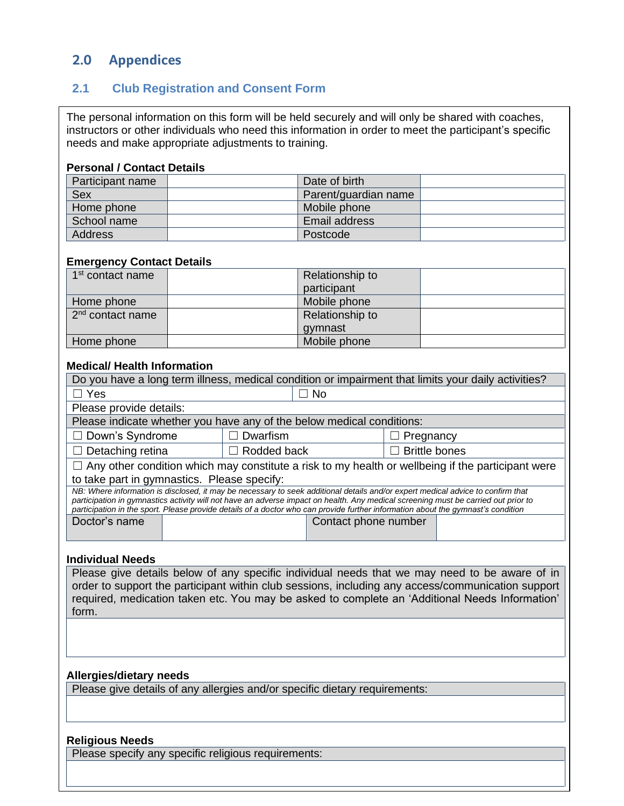# **2.0 Appendices**

#### <span id="page-14-2"></span>**2.1 Club Registration and Consent Form**

<span id="page-14-1"></span><span id="page-14-0"></span>The personal information on this form will be held securely and will only be shared with coaches, instructors or other individuals who need this information in order to meet the participant's specific needs and make appropriate adjustments to training.

#### **Personal / Contact Details**

| Participant name | Date of birth        |  |
|------------------|----------------------|--|
| Sex              | Parent/guardian name |  |
| Home phone       | Mobile phone         |  |
| School name      | Email address        |  |
| Address          | Postcode             |  |

#### **Emergency Contact Details**

| 1 <sup>st</sup> contact name | Relationship to |  |
|------------------------------|-----------------|--|
|                              | participant     |  |
| Home phone                   | Mobile phone    |  |
| $2nd$ contact name           | Relationship to |  |
|                              | gymnast         |  |
| Home phone                   | Mobile phone    |  |

#### **Medical/ Health Information**

| Do you have a long term illness, medical condition or impairment that limits your daily activities?                                |                      |                                                                                                                                 |  |  |  |  |  |  |
|------------------------------------------------------------------------------------------------------------------------------------|----------------------|---------------------------------------------------------------------------------------------------------------------------------|--|--|--|--|--|--|
| $\Box$ Yes                                                                                                                         |                      |                                                                                                                                 |  |  |  |  |  |  |
| Please provide details:                                                                                                            |                      |                                                                                                                                 |  |  |  |  |  |  |
| Please indicate whether you have any of the below medical conditions:                                                              |                      |                                                                                                                                 |  |  |  |  |  |  |
| $\Box$ Down's Syndrome                                                                                                             | Pregnancy            |                                                                                                                                 |  |  |  |  |  |  |
| $\Box$ Detaching retina                                                                                                            | $\Box$ Rodded back   | <b>Brittle bones</b>                                                                                                            |  |  |  |  |  |  |
|                                                                                                                                    |                      | $\Box$ Any other condition which may constitute a risk to my health or wellbeing if the participant were                        |  |  |  |  |  |  |
| to take part in gymnastics. Please specify:                                                                                        |                      |                                                                                                                                 |  |  |  |  |  |  |
|                                                                                                                                    |                      | NB: Where information is disclosed, it may be necessary to seek additional details and/or expert medical advice to confirm that |  |  |  |  |  |  |
| participation in gymnastics activity will not have an adverse impact on health. Any medical screening must be carried out prior to |                      |                                                                                                                                 |  |  |  |  |  |  |
| participation in the sport. Please provide details of a doctor who can provide further information about the gymnast's condition   |                      |                                                                                                                                 |  |  |  |  |  |  |
| Doctor's name                                                                                                                      | Contact phone number |                                                                                                                                 |  |  |  |  |  |  |
|                                                                                                                                    |                      |                                                                                                                                 |  |  |  |  |  |  |

#### **Individual Needs**

Please give details below of any specific individual needs that we may need to be aware of in order to support the participant within club sessions, including any access/communication support required, medication taken etc. You may be asked to complete an 'Additional Needs Information' form.

15

#### **Allergies/dietary needs**

Please give details of any allergies and/or specific dietary requirements:

#### **Religious Needs**

Please specify any specific religious requirements: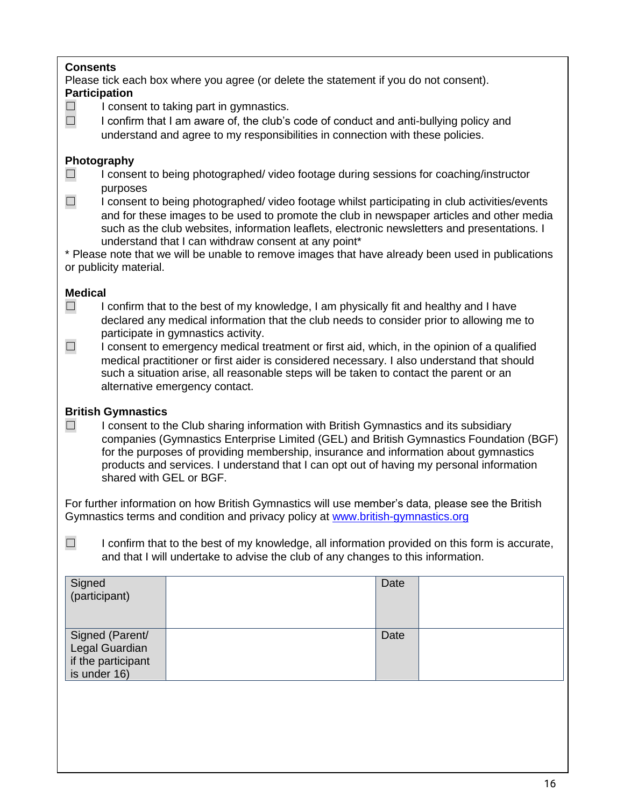#### **Consents**

Please tick each box where you agree (or delete the statement if you do not consent). **Participation**

 $\Box$  I consent to taking part in gymnastics.

 $\Box$  I confirm that I am aware of, the club's code of conduct and anti-bullying policy and understand and agree to my responsibilities in connection with these policies.

#### **Photography**

- ☐ I consent to being photographed/ video footage during sessions for coaching/instructor purposes
- ☐ I consent to being photographed/ video footage whilst participating in club activities/events and for these images to be used to promote the club in newspaper articles and other media such as the club websites, information leaflets, electronic newsletters and presentations. I understand that I can withdraw consent at any point\*

\* Please note that we will be unable to remove images that have already been used in publications or publicity material.

# **Medical**

- $\Box$  I confirm that to the best of my knowledge, I am physically fit and healthy and I have declared any medical information that the club needs to consider prior to allowing me to participate in gymnastics activity.
- $\Box$  I consent to emergency medical treatment or first aid, which, in the opinion of a qualified medical practitioner or first aider is considered necessary. I also understand that should such a situation arise, all reasonable steps will be taken to contact the parent or an alternative emergency contact.

#### **British Gymnastics**

 $\Box$  I consent to the Club sharing information with British Gymnastics and its subsidiary companies (Gymnastics Enterprise Limited (GEL) and British Gymnastics Foundation (BGF) for the purposes of providing membership, insurance and information about gymnastics products and services. I understand that I can opt out of having my personal information shared with GEL or BGF.

For further information on how British Gymnastics will use member's data, please see the British Gymnastics terms and condition and privacy policy at [www.british-gymnastics.org](http://www.british-gymnastics.org/)

 $\Box$  I confirm that to the best of my knowledge, all information provided on this form is accurate, and that I will undertake to advise the club of any changes to this information.

| Signed<br>(participant)            | Date |  |
|------------------------------------|------|--|
| Signed (Parent/<br>Legal Guardian  | Date |  |
| if the participant<br>is under 16) |      |  |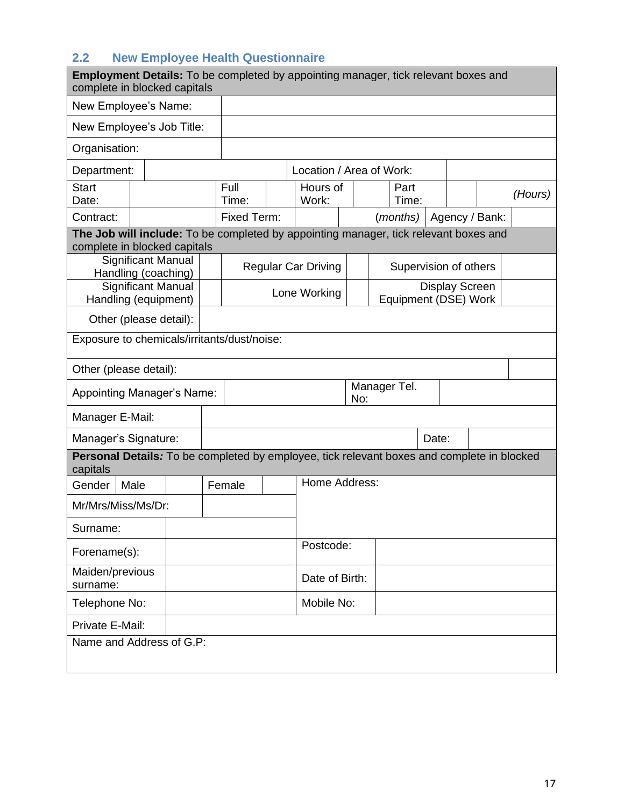# <span id="page-16-1"></span>**2.2 New Employee Health Questionnaire**

<span id="page-16-0"></span>

| <b>Employment Details:</b> To be completed by appointing manager, tick relevant boxes and<br>complete in blocked capitals |                           |  |               |  |                            |     |  |                       |                       |                |         |
|---------------------------------------------------------------------------------------------------------------------------|---------------------------|--|---------------|--|----------------------------|-----|--|-----------------------|-----------------------|----------------|---------|
| New Employee's Name:                                                                                                      |                           |  |               |  |                            |     |  |                       |                       |                |         |
| New Employee's Job Title:                                                                                                 |                           |  |               |  |                            |     |  |                       |                       |                |         |
| Organisation:                                                                                                             |                           |  |               |  |                            |     |  |                       |                       |                |         |
| Department:                                                                                                               |                           |  |               |  | Location / Area of Work:   |     |  |                       |                       |                |         |
| <b>Start</b><br>Date:                                                                                                     |                           |  | Full<br>Time: |  | Hours of<br>Work:          |     |  | Part<br>Time:         |                       |                | (Hours) |
| Contract:                                                                                                                 |                           |  | Fixed Term:   |  |                            |     |  | (months)              |                       | Agency / Bank: |         |
| The Job will include: To be completed by appointing manager, tick relevant boxes and<br>complete in blocked capitals      |                           |  |               |  |                            |     |  |                       |                       |                |         |
| Handling (coaching)                                                                                                       | <b>Significant Manual</b> |  |               |  | <b>Regular Car Driving</b> |     |  | Supervision of others |                       |                |         |
| Handling (equipment)                                                                                                      | <b>Significant Manual</b> |  |               |  | Lone Working               |     |  | Equipment (DSE) Work  | <b>Display Screen</b> |                |         |
| Other (please detail):                                                                                                    |                           |  |               |  |                            |     |  |                       |                       |                |         |
| Exposure to chemicals/irritants/dust/noise:                                                                               |                           |  |               |  |                            |     |  |                       |                       |                |         |
| Other (please detail):                                                                                                    |                           |  |               |  |                            |     |  |                       |                       |                |         |
| <b>Appointing Manager's Name:</b>                                                                                         |                           |  |               |  |                            | No: |  | Manager Tel.          |                       |                |         |
| Manager E-Mail:                                                                                                           |                           |  |               |  |                            |     |  |                       |                       |                |         |
| Manager's Signature:                                                                                                      |                           |  | Date:         |  |                            |     |  |                       |                       |                |         |
| <b>Personal Details:</b> To be completed by employee, tick relevant boxes and complete in blocked<br>capitals             |                           |  |               |  |                            |     |  |                       |                       |                |         |
| Gender                                                                                                                    | Male                      |  | Female        |  | Home Address:              |     |  |                       |                       |                |         |
| Mr/Mrs/Miss/Ms/Dr:                                                                                                        |                           |  |               |  |                            |     |  |                       |                       |                |         |
| Surname:                                                                                                                  |                           |  |               |  |                            |     |  |                       |                       |                |         |
| Forename(s):                                                                                                              |                           |  |               |  | Postcode:                  |     |  |                       |                       |                |         |
| Maiden/previous<br>surname:                                                                                               |                           |  |               |  | Date of Birth:             |     |  |                       |                       |                |         |
| Telephone No:                                                                                                             |                           |  |               |  | Mobile No:                 |     |  |                       |                       |                |         |
| Private E-Mail:                                                                                                           |                           |  |               |  |                            |     |  |                       |                       |                |         |
| Name and Address of G.P:                                                                                                  |                           |  |               |  |                            |     |  |                       |                       |                |         |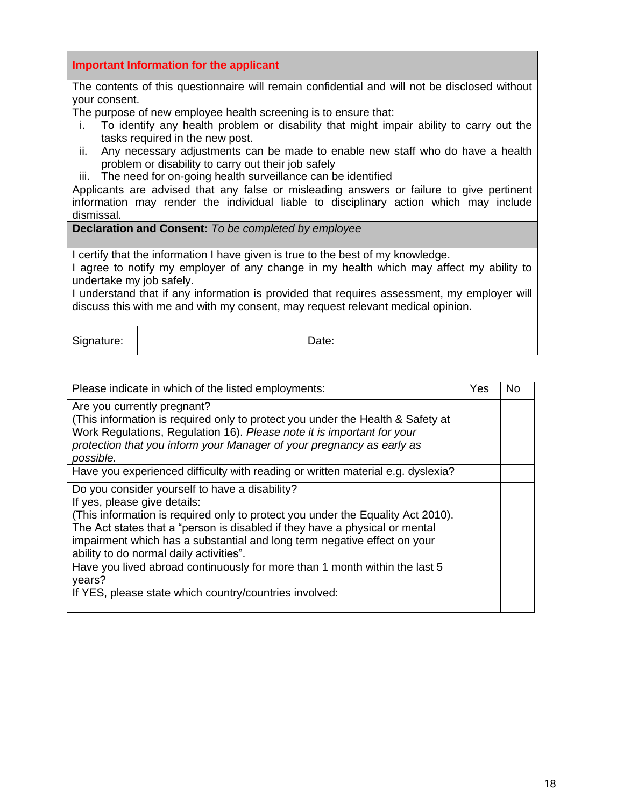|                                                                                                                                                                                | Important Information for the applicant                                                                                                                                     |       |  |  |  |  |
|--------------------------------------------------------------------------------------------------------------------------------------------------------------------------------|-----------------------------------------------------------------------------------------------------------------------------------------------------------------------------|-------|--|--|--|--|
|                                                                                                                                                                                | The contents of this questionnaire will remain confidential and will not be disclosed without                                                                               |       |  |  |  |  |
| your consent.                                                                                                                                                                  |                                                                                                                                                                             |       |  |  |  |  |
|                                                                                                                                                                                | The purpose of new employee health screening is to ensure that:                                                                                                             |       |  |  |  |  |
| Ĺ.                                                                                                                                                                             | To identify any health problem or disability that might impair ability to carry out the<br>tasks required in the new post.                                                  |       |  |  |  |  |
| ii.                                                                                                                                                                            | Any necessary adjustments can be made to enable new staff who do have a health<br>problem or disability to carry out their job safely                                       |       |  |  |  |  |
|                                                                                                                                                                                | iii. The need for on-going health surveillance can be identified                                                                                                            |       |  |  |  |  |
|                                                                                                                                                                                | Applicants are advised that any false or misleading answers or failure to give pertinent                                                                                    |       |  |  |  |  |
|                                                                                                                                                                                | information may render the individual liable to disciplinary action which may include                                                                                       |       |  |  |  |  |
| dismissal.                                                                                                                                                                     |                                                                                                                                                                             |       |  |  |  |  |
|                                                                                                                                                                                | <b>Declaration and Consent:</b> To be completed by employee                                                                                                                 |       |  |  |  |  |
|                                                                                                                                                                                |                                                                                                                                                                             |       |  |  |  |  |
|                                                                                                                                                                                | I certify that the information I have given is true to the best of my knowledge.<br>I agree to notify my employer of any change in my health which may affect my ability to |       |  |  |  |  |
| undertake my job safely.                                                                                                                                                       |                                                                                                                                                                             |       |  |  |  |  |
| I understand that if any information is provided that requires assessment, my employer will<br>discuss this with me and with my consent, may request relevant medical opinion. |                                                                                                                                                                             |       |  |  |  |  |
|                                                                                                                                                                                |                                                                                                                                                                             |       |  |  |  |  |
| Signature:                                                                                                                                                                     |                                                                                                                                                                             | Date: |  |  |  |  |
|                                                                                                                                                                                |                                                                                                                                                                             |       |  |  |  |  |

| Please indicate in which of the listed employments:                                                                                                                                                                                                                                                                                                                     | Yes | No. |
|-------------------------------------------------------------------------------------------------------------------------------------------------------------------------------------------------------------------------------------------------------------------------------------------------------------------------------------------------------------------------|-----|-----|
| Are you currently pregnant?<br>(This information is required only to protect you under the Health & Safety at<br>Work Regulations, Regulation 16). Please note it is important for your<br>protection that you inform your Manager of your pregnancy as early as<br>possible.                                                                                           |     |     |
| Have you experienced difficulty with reading or written material e.g. dyslexia?                                                                                                                                                                                                                                                                                         |     |     |
| Do you consider yourself to have a disability?<br>If yes, please give details:<br>(This information is required only to protect you under the Equality Act 2010).<br>The Act states that a "person is disabled if they have a physical or mental<br>impairment which has a substantial and long term negative effect on your<br>ability to do normal daily activities". |     |     |
| Have you lived abroad continuously for more than 1 month within the last 5<br>years?<br>If YES, please state which country/countries involved:                                                                                                                                                                                                                          |     |     |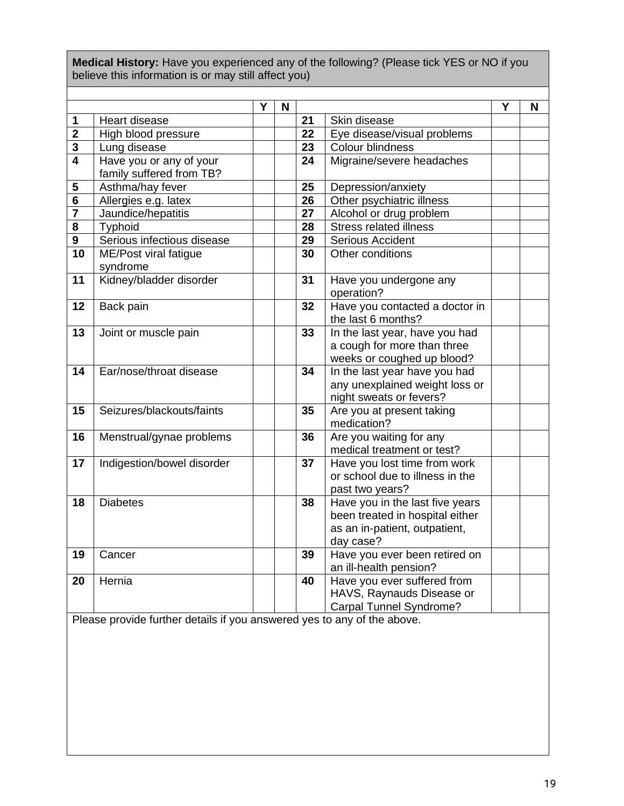**Medical History:** Have you experienced any of the following? (Please tick YES or NO if you believe this information is or may still affect you)

|                         |                            | Y | N |                 |                                          | Υ | N |
|-------------------------|----------------------------|---|---|-----------------|------------------------------------------|---|---|
| $\mathbf 1$             | Heart disease              |   |   | 21              | Skin disease                             |   |   |
| $\overline{\mathbf{2}}$ | High blood pressure        |   |   | $\overline{22}$ | Eye disease/visual problems              |   |   |
| $\mathbf 3$             | Lung disease               |   |   | 23              | Colour blindness                         |   |   |
| $\overline{4}$          | Have you or any of your    |   |   | 24              | Migraine/severe headaches                |   |   |
|                         | family suffered from TB?   |   |   |                 |                                          |   |   |
| 5                       | Asthma/hay fever           |   |   | 25              | Depression/anxiety                       |   |   |
| $6\phantom{1}6$         | Allergies e.g. latex       |   |   | 26              | Other psychiatric illness                |   |   |
| 7                       | Jaundice/hepatitis         |   |   | 27              | Alcohol or drug problem                  |   |   |
| 8                       | Typhoid                    |   |   | 28              | <b>Stress related illness</b>            |   |   |
| $\boldsymbol{9}$        | Serious infectious disease |   |   | 29              | <b>Serious Accident</b>                  |   |   |
| 10                      | ME/Post viral fatigue      |   |   | 30              | Other conditions                         |   |   |
|                         | syndrome                   |   |   |                 |                                          |   |   |
| 11                      | Kidney/bladder disorder    |   |   | 31              | Have you undergone any                   |   |   |
|                         |                            |   |   |                 | operation?                               |   |   |
| 12                      | Back pain                  |   |   | 32              | Have you contacted a doctor in           |   |   |
|                         |                            |   |   |                 | the last 6 months?                       |   |   |
| 13                      | Joint or muscle pain       |   |   | 33              | In the last year, have you had           |   |   |
|                         |                            |   |   |                 | a cough for more than three              |   |   |
|                         |                            |   |   |                 | weeks or coughed up blood?               |   |   |
| 14                      | Ear/nose/throat disease    |   |   | 34              | In the last year have you had            |   |   |
|                         |                            |   |   |                 | any unexplained weight loss or           |   |   |
|                         | Seizures/blackouts/faints  |   |   | 35              | night sweats or fevers?                  |   |   |
| 15                      |                            |   |   |                 | Are you at present taking<br>medication? |   |   |
| 16                      | Menstrual/gynae problems   |   |   | 36              | Are you waiting for any                  |   |   |
|                         |                            |   |   |                 | medical treatment or test?               |   |   |
| 17                      | Indigestion/bowel disorder |   |   | 37              | Have you lost time from work             |   |   |
|                         |                            |   |   |                 | or school due to illness in the          |   |   |
|                         |                            |   |   |                 | past two years?                          |   |   |
| 18                      | <b>Diabetes</b>            |   |   | 38              | Have you in the last five years          |   |   |
|                         |                            |   |   |                 | been treated in hospital either          |   |   |
|                         |                            |   |   |                 | as an in-patient, outpatient,            |   |   |
|                         |                            |   |   |                 | day case?                                |   |   |
| 19                      | Cancer                     |   |   | 39              | Have you ever been retired on            |   |   |
|                         |                            |   |   |                 | an ill-health pension?                   |   |   |
| 20                      | Hernia                     |   |   | 40              | Have you ever suffered from              |   |   |
|                         |                            |   |   |                 | HAVS, Raynauds Disease or                |   |   |
|                         |                            |   |   |                 | Carpal Tunnel Syndrome?                  |   |   |

Please provide further details if you answered yes to any of the above.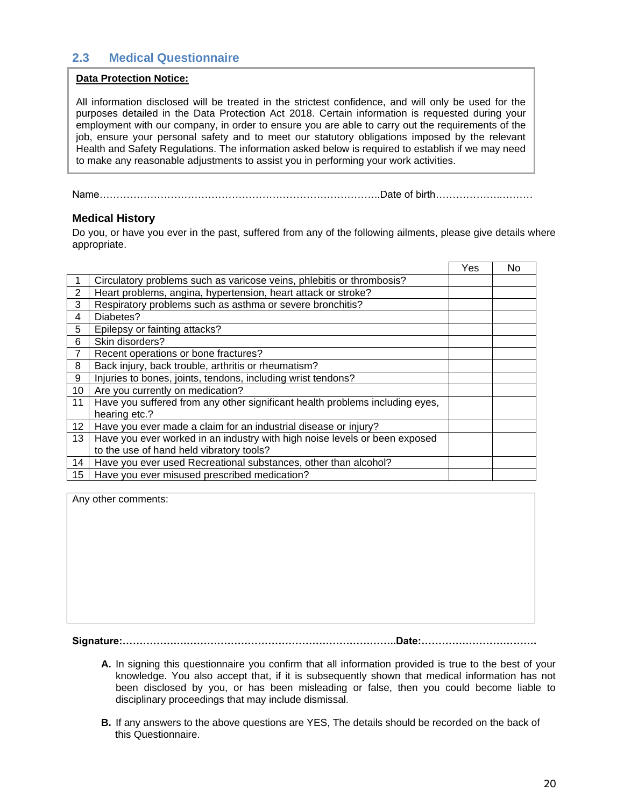#### <span id="page-19-1"></span>**2.3 Medical Questionnaire**

#### **Data Protection Notice:**

<span id="page-19-0"></span>All information disclosed will be treated in the strictest confidence, and will only be used for the purposes detailed in the Data Protection Act 2018. Certain information is requested during your employment with our company, in order to ensure you are able to carry out the requirements of the job, ensure your personal safety and to meet our statutory obligations imposed by the relevant Health and Safety Regulations. The information asked below is required to establish if we may need to make any reasonable adjustments to assist you in performing your work activities.

Name………………………………………………………………………..Date of birth………………..……… *Your doctor will not be contacted without your prior consent for us to do so.*

#### **Medical History**

֦

Do you, or have you ever in the past, suffered from any of the following ailments, please give details where appropriate.

|                |                                                                              | Yes | No |
|----------------|------------------------------------------------------------------------------|-----|----|
|                | Circulatory problems such as varicose veins, phlebitis or thrombosis?        |     |    |
| $\overline{c}$ | Heart problems, angina, hypertension, heart attack or stroke?                |     |    |
| 3              | Respiratory problems such as asthma or severe bronchitis?                    |     |    |
| 4              | Diabetes?                                                                    |     |    |
| 5              | Epilepsy or fainting attacks?                                                |     |    |
| 6              | Skin disorders?                                                              |     |    |
| $\overline{7}$ | Recent operations or bone fractures?                                         |     |    |
| 8              | Back injury, back trouble, arthritis or rheumatism?                          |     |    |
| 9              | Injuries to bones, joints, tendons, including wrist tendons?                 |     |    |
| 10             | Are you currently on medication?                                             |     |    |
| 11             | Have you suffered from any other significant health problems including eyes, |     |    |
|                | hearing etc.?                                                                |     |    |
| 12             | Have you ever made a claim for an industrial disease or injury?              |     |    |
| 13             | Have you ever worked in an industry with high noise levels or been exposed   |     |    |
|                | to the use of hand held vibratory tools?                                     |     |    |
| 14             | Have you ever used Recreational substances, other than alcohol?              |     |    |
| 15             | Have you ever misused prescribed medication?                                 |     |    |

Any other comments:

**Signature:……………….……………………………………………………..Date:…………………………….**

- **A.** In signing this questionnaire you confirm that all information provided is true to the best of your knowledge. You also accept that, if it is subsequently shown that medical information has not been disclosed by you, or has been misleading or false, then you could become liable to disciplinary proceedings that may include dismissal.
- **B.** If any answers to the above questions are YES, The details should be recorded on the back of this Questionnaire.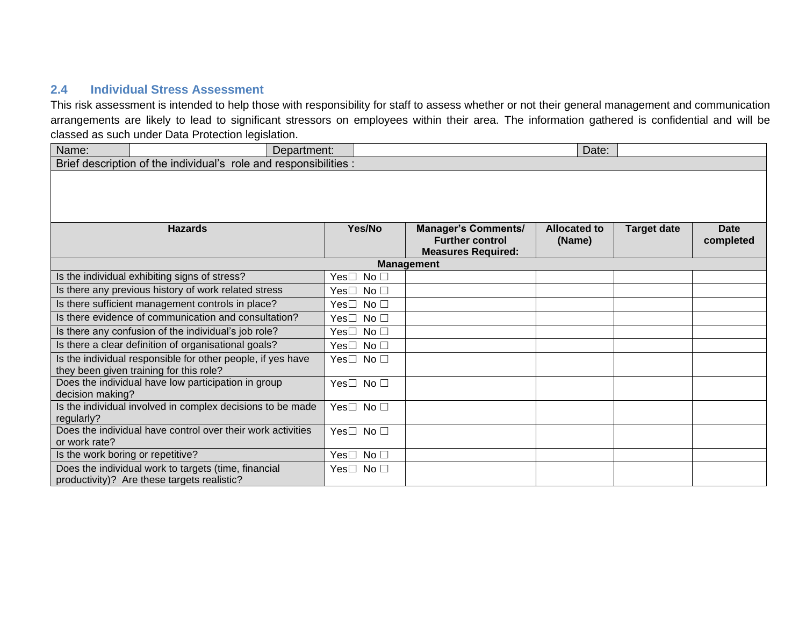#### **2.4 Individual Stress Assessment**

This risk assessment is intended to help those with responsibility for staff to assess whether or not their general management and communication arrangements are likely to lead to significant stressors on employees within their area. The information gathered is confidential and will be classed as such under Data Protection legislation.

<span id="page-20-1"></span><span id="page-20-0"></span>

| Name:                                                                                                  | Department:                                   |                                  |  |                                                | Date:               |                    |             |
|--------------------------------------------------------------------------------------------------------|-----------------------------------------------|----------------------------------|--|------------------------------------------------|---------------------|--------------------|-------------|
| Brief description of the individual's role and responsibilities :                                      |                                               |                                  |  |                                                |                     |                    |             |
|                                                                                                        |                                               |                                  |  |                                                |                     |                    |             |
|                                                                                                        | <b>Hazards</b>                                | Yes/No                           |  | <b>Manager's Comments/</b>                     | <b>Allocated to</b> | <b>Target date</b> | <b>Date</b> |
|                                                                                                        |                                               |                                  |  | <b>Further control</b>                         | (Name)              |                    | completed   |
|                                                                                                        |                                               |                                  |  | <b>Measures Required:</b><br><b>Management</b> |                     |                    |             |
|                                                                                                        | Is the individual exhibiting signs of stress? | Yes□ No □                        |  |                                                |                     |                    |             |
| Is there any previous history of work related stress                                                   |                                               | Yes□ No □                        |  |                                                |                     |                    |             |
| Is there sufficient management controls in place?                                                      |                                               | Yes□ No □                        |  |                                                |                     |                    |             |
| Is there evidence of communication and consultation?                                                   |                                               | Yes <sup>1</sup><br>No $\square$ |  |                                                |                     |                    |             |
| Is there any confusion of the individual's job role?                                                   |                                               | Yes□ No □                        |  |                                                |                     |                    |             |
| Is there a clear definition of organisational goals?                                                   |                                               | Yes□ No □                        |  |                                                |                     |                    |             |
| Is the individual responsible for other people, if yes have<br>they been given training for this role? |                                               | Yes $\square$ No $\square$       |  |                                                |                     |                    |             |
| Does the individual have low participation in group<br>decision making?                                |                                               | Yes□ No □                        |  |                                                |                     |                    |             |
| Is the individual involved in complex decisions to be made<br>regularly?                               |                                               | Yes $\square$ No $\square$       |  |                                                |                     |                    |             |
| Does the individual have control over their work activities<br>or work rate?                           |                                               | Yes $\square$ No $\square$       |  |                                                |                     |                    |             |
| Is the work boring or repetitive?                                                                      |                                               | Yes□ No □                        |  |                                                |                     |                    |             |
| Does the individual work to targets (time, financial<br>productivity)? Are these targets realistic?    |                                               | Yes $\Box$ No $\Box$             |  |                                                |                     |                    |             |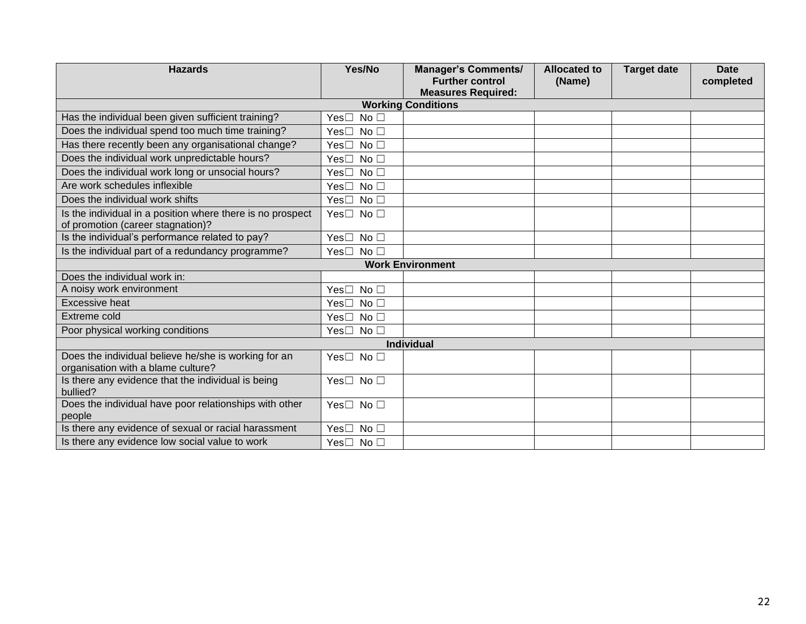| <b>Hazards</b>                                                                                  | Yes/No                     | <b>Manager's Comments/</b>                             | <b>Allocated to</b> | <b>Target date</b> | <b>Date</b> |
|-------------------------------------------------------------------------------------------------|----------------------------|--------------------------------------------------------|---------------------|--------------------|-------------|
|                                                                                                 |                            | <b>Further control</b>                                 | (Name)              |                    | completed   |
|                                                                                                 |                            | <b>Measures Required:</b><br><b>Working Conditions</b> |                     |                    |             |
| Has the individual been given sufficient training?                                              | Yes□ No □                  |                                                        |                     |                    |             |
| Does the individual spend too much time training?                                               | Yes□ No □                  |                                                        |                     |                    |             |
| Has there recently been any organisational change?                                              | Yes□ No □                  |                                                        |                     |                    |             |
| Does the individual work unpredictable hours?                                                   | Yes□ No □                  |                                                        |                     |                    |             |
| Does the individual work long or unsocial hours?                                                | Yes□ No □                  |                                                        |                     |                    |             |
| Are work schedules inflexible                                                                   |                            |                                                        |                     |                    |             |
| Does the individual work shifts                                                                 | Yes□ No □                  |                                                        |                     |                    |             |
|                                                                                                 | Yes□ No □                  |                                                        |                     |                    |             |
| Is the individual in a position where there is no prospect<br>of promotion (career stagnation)? | Yes□ No □                  |                                                        |                     |                    |             |
| Is the individual's performance related to pay?                                                 | Yes□ No □                  |                                                        |                     |                    |             |
| Is the individual part of a redundancy programme?                                               | Yes $\square$ No $\square$ |                                                        |                     |                    |             |
| <b>Work Environment</b>                                                                         |                            |                                                        |                     |                    |             |
| Does the individual work in:                                                                    |                            |                                                        |                     |                    |             |
| A noisy work environment                                                                        | Yes□ No □                  |                                                        |                     |                    |             |
| <b>Excessive heat</b>                                                                           | Yes□ No □                  |                                                        |                     |                    |             |
| <b>Extreme cold</b>                                                                             | Yes□ No □                  |                                                        |                     |                    |             |
| Poor physical working conditions                                                                | Yes□ No □                  |                                                        |                     |                    |             |
| <b>Individual</b>                                                                               |                            |                                                        |                     |                    |             |
| Does the individual believe he/she is working for an<br>organisation with a blame culture?      | Yes□ No □                  |                                                        |                     |                    |             |
| Is there any evidence that the individual is being<br>bullied?                                  | Yes□ No □                  |                                                        |                     |                    |             |
| Does the individual have poor relationships with other<br>people                                | Yes□ No □                  |                                                        |                     |                    |             |
| Is there any evidence of sexual or racial harassment                                            | Yes□ No □                  |                                                        |                     |                    |             |
| Is there any evidence low social value to work                                                  | Yes□ No □                  |                                                        |                     |                    |             |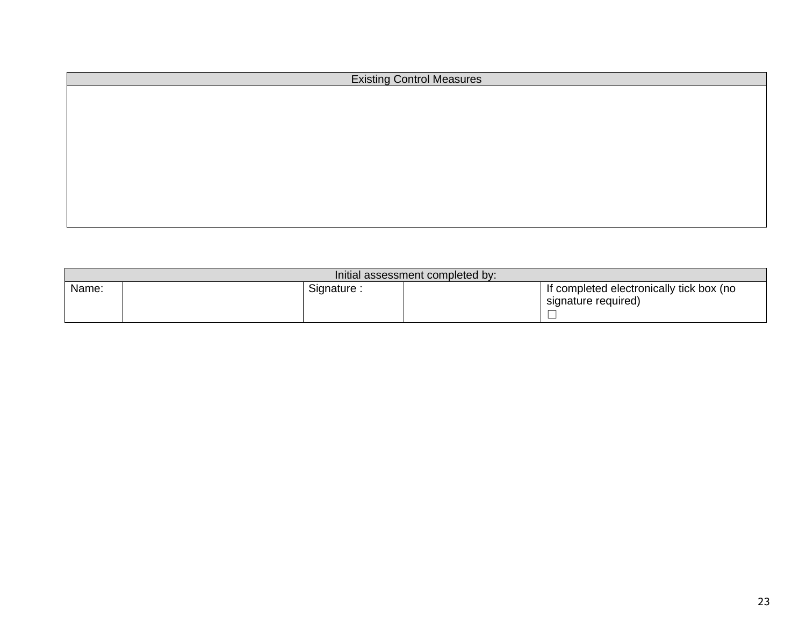| <b>Existing Control Measures</b> |  |  |
|----------------------------------|--|--|
|                                  |  |  |
|                                  |  |  |
|                                  |  |  |
|                                  |  |  |
|                                  |  |  |
|                                  |  |  |
|                                  |  |  |
|                                  |  |  |
|                                  |  |  |

| Initial assessment completed by: |            |  |                                                                 |
|----------------------------------|------------|--|-----------------------------------------------------------------|
| Name:                            | Signature: |  | If completed electronically tick box (no<br>signature required) |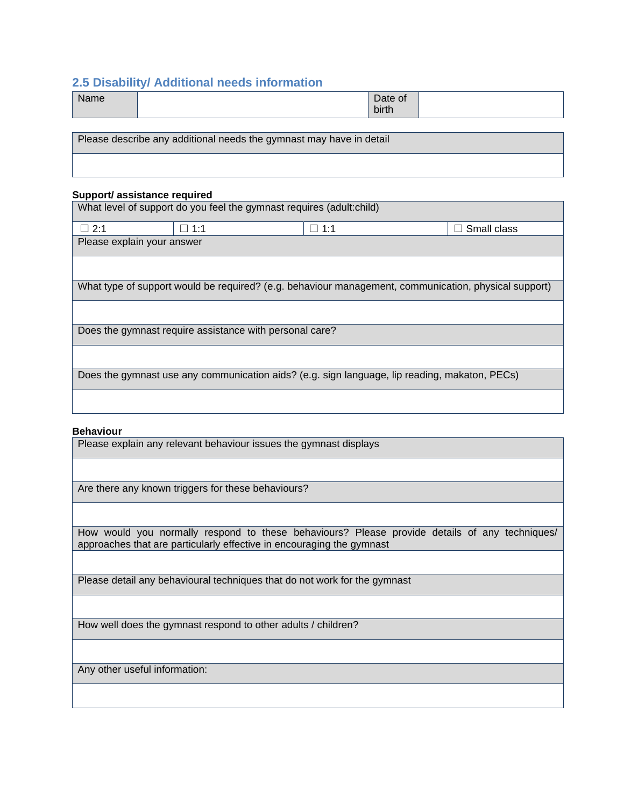#### <span id="page-23-1"></span>**2.5 Disability/ Additional needs information**

| Nome<br><b>Prince</b> | Date of     |  |
|-----------------------|-------------|--|
|                       | .<br>birth. |  |

<span id="page-23-0"></span>Please describe any additional needs the gymnast may have in detail

#### **Support/ assistance required**

What level of support do you feel the gymnast requires (adult:child)

| $\square$ 2:1                                                                                        | 1:1 ⊡                                                   | $\Box$ 1:1 | Small class |  |
|------------------------------------------------------------------------------------------------------|---------------------------------------------------------|------------|-------------|--|
| Please explain your answer                                                                           |                                                         |            |             |  |
|                                                                                                      |                                                         |            |             |  |
|                                                                                                      |                                                         |            |             |  |
|                                                                                                      |                                                         |            |             |  |
| What type of support would be required? (e.g. behaviour management, communication, physical support) |                                                         |            |             |  |
|                                                                                                      |                                                         |            |             |  |
|                                                                                                      |                                                         |            |             |  |
|                                                                                                      | Does the gymnast require assistance with personal care? |            |             |  |

Does the gymnast use any communication aids? (e.g. sign language, lip reading, makaton, PECs)

#### **Behaviour**

Please explain any relevant behaviour issues the gymnast displays

Are there any known triggers for these behaviours?

How would you normally respond to these behaviours? Please provide details of any techniques/ approaches that are particularly effective in encouraging the gymnast

Please detail any behavioural techniques that do not work for the gymnast

How well does the gymnast respond to other adults / children?

Any other useful information: